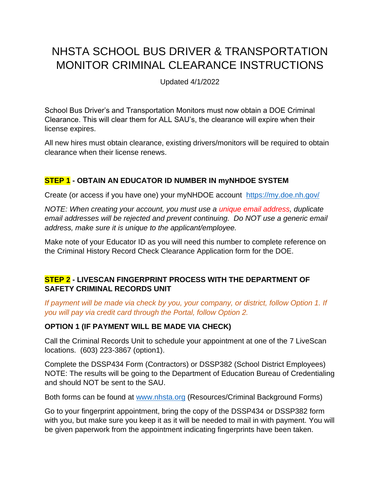# NHSTA SCHOOL BUS DRIVER & TRANSPORTATION MONITOR CRIMINAL CLEARANCE INSTRUCTIONS

Updated 4/1/2022

School Bus Driver's and Transportation Monitors must now obtain a DOE Criminal Clearance. This will clear them for ALL SAU's, the clearance will expire when their license expires.

All new hires must obtain clearance, existing drivers/monitors will be required to obtain clearance when their license renews.

## **STEP 1 - OBTAIN AN EDUCATOR ID NUMBER IN myNHDOE SYSTEM**

Create (or access if you have one) your myNHDOE account <https://my.doe.nh.gov/>

*NOTE: When creating your account, you must use a unique email address, duplicate email addresses will be rejected and prevent continuing. Do NOT use a generic email address, make sure it is unique to the applicant/employee.*

Make note of your Educator ID as you will need this number to complete reference on the Criminal History Record Check Clearance Application form for the DOE.

## **STEP 2 - LIVESCAN FINGERPRINT PROCESS WITH THE DEPARTMENT OF SAFETY CRIMINAL RECORDS UNIT**

*If payment will be made via check by you, your company, or district, follow Option 1. If you will pay via credit card through the Portal, follow Option 2.*

### **OPTION 1 (IF PAYMENT WILL BE MADE VIA CHECK)**

Call the Criminal Records Unit to schedule your appointment at one of the 7 LiveScan locations. (603) 223-3867 (option1).

Complete the DSSP434 Form (Contractors) or DSSP382 (School District Employees) NOTE: The results will be going to the Department of Education Bureau of Credentialing and should NOT be sent to the SAU.

Both forms can be found at [www.nhsta.org](http://www.nhsta.org/) (Resources/Criminal Background Forms)

Go to your fingerprint appointment, bring the copy of the DSSP434 or DSSP382 form with you, but make sure you keep it as it will be needed to mail in with payment. You will be given paperwork from the appointment indicating fingerprints have been taken.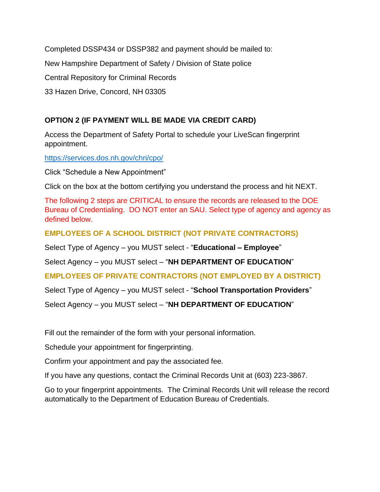Completed DSSP434 or DSSP382 and payment should be mailed to:

New Hampshire Department of Safety / Division of State police

Central Repository for Criminal Records

33 Hazen Drive, Concord, NH 03305

## **OPTION 2 (IF PAYMENT WILL BE MADE VIA CREDIT CARD)**

Access the Department of Safety Portal to schedule your LiveScan fingerprint appointment.

<https://services.dos.nh.gov/chri/cpo/>

Click "Schedule a New Appointment"

Click on the box at the bottom certifying you understand the process and hit NEXT.

The following 2 steps are CRITICAL to ensure the records are released to the DOE Bureau of Credentialing. DO NOT enter an SAU. Select type of agency and agency as defined below.

**EMPLOYEES OF A SCHOOL DISTRICT (NOT PRIVATE CONTRACTORS)**

Select Type of Agency – you MUST select - "**Educational – Employee**"

Select Agency – you MUST select – "**NH DEPARTMENT OF EDUCATION**"

### **EMPLOYEES OF PRIVATE CONTRACTORS (NOT EMPLOYED BY A DISTRICT)**

Select Type of Agency – you MUST select - "**School Transportation Providers**"

Select Agency – you MUST select – "**NH DEPARTMENT OF EDUCATION**"

Fill out the remainder of the form with your personal information.

Schedule your appointment for fingerprinting.

Confirm your appointment and pay the associated fee.

If you have any questions, contact the Criminal Records Unit at (603) 223-3867.

Go to your fingerprint appointments. The Criminal Records Unit will release the record automatically to the Department of Education Bureau of Credentials.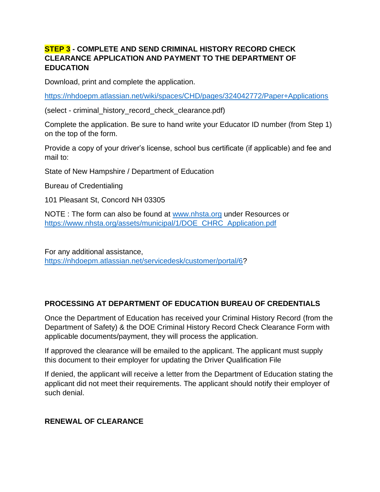### **STEP 3 - COMPLETE AND SEND CRIMINAL HISTORY RECORD CHECK CLEARANCE APPLICATION AND PAYMENT TO THE DEPARTMENT OF EDUCATION**

Download, print and complete the application.

<https://nhdoepm.atlassian.net/wiki/spaces/CHD/pages/324042772/Paper+Applications>

(select - criminal\_history\_record\_check\_clearance.pdf)

Complete the application. Be sure to hand write your Educator ID number (from Step 1) on the top of the form.

Provide a copy of your driver's license, school bus certificate (if applicable) and fee and mail to:

State of New Hampshire / Department of Education

Bureau of Credentialing

101 Pleasant St, Concord NH 03305

NOTE : The form can also be found at [www.nhsta.org](http://www.nhsta.org/) under Resources or [https://www.nhsta.org/assets/municipal/1/DOE\\_CHRC\\_Application.pdf](https://www.nhsta.org/assets/municipal/1/DOE_CHRC_Application.pdf)

For any additional assistance, [https://nhdoepm.atlassian.net/servicedesk/customer/portal/6?](https://nhdoepm.atlassian.net/servicedesk/customer/portal/6)

## **PROCESSING AT DEPARTMENT OF EDUCATION BUREAU OF CREDENTIALS**

Once the Department of Education has received your Criminal History Record (from the Department of Safety) & the DOE Criminal History Record Check Clearance Form with applicable documents/payment, they will process the application.

If approved the clearance will be emailed to the applicant. The applicant must supply this document to their employer for updating the Driver Qualification File

If denied, the applicant will receive a letter from the Department of Education stating the applicant did not meet their requirements. The applicant should notify their employer of such denial.

### **RENEWAL OF CLEARANCE**